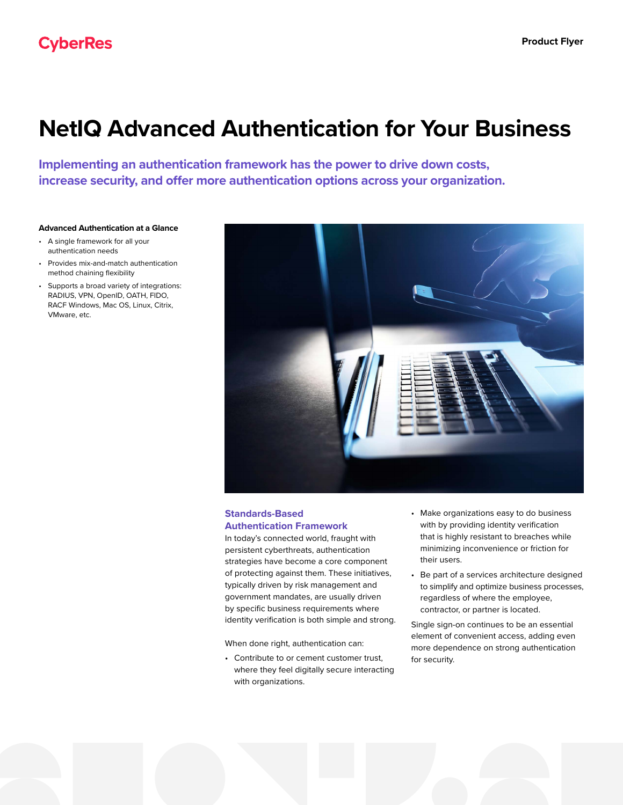# **NetIQ Advanced Authentication for Your Business**

**Implementing an authentication framework has the power to drive down costs, increase security, and offer more authentication options across your organization.** 

## **Advanced Authentication at a Glance**

- A single framework for all your authentication needs
- Provides mix-and-match authentication method chaining flexibility
- Supports a broad variety of integrations: RADIUS, VPN, OpenID, OATH, FIDO, RACF Windows, Mac OS, Linux, Citrix, VMware, etc.



## **Standards-Based Authentication Framework**

In today's connected world, fraught with persistent cyberthreats, authentication strategies have become a core component of protecting against them. These initiatives, typically driven by risk management and government mandates, are usually driven by specific business requirements where identity verification is both simple and strong.

When done right, authentication can:

• Contribute to or cement customer trust, where they feel digitally secure interacting with organizations.

- Make organizations easy to do business with by providing identity verification that is highly resistant to breaches while minimizing inconvenience or friction for their users.
- Be part of a services architecture designed to simplify and optimize business processes, regardless of where the employee, contractor, or partner is located.

Single sign-on continues to be an essential element of convenient access, adding even more dependence on strong authentication for security.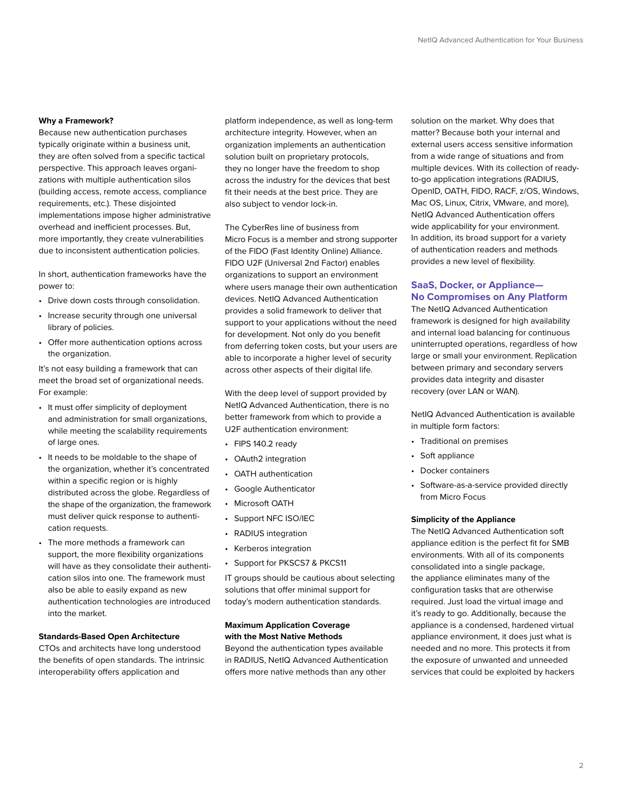#### **Why a Framework?**

Because new authentication purchases typically originate within a business unit, they are often solved from a specific tactical perspective. This approach leaves organizations with multiple authentication silos (building access, remote access, compliance requirements, etc.). These disjointed implementations impose higher administrative overhead and inefficient processes. But, more importantly, they create vulnerabilities due to inconsistent authentication policies.

In short, authentication frameworks have the power to:

- Drive down costs through consolidation.
- Increase security through one universal library of policies.
- Offer more authentication options across the organization.

It's not easy building a framework that can meet the broad set of organizational needs. For example:

- It must offer simplicity of deployment and administration for small organizations, while meeting the scalability requirements of large ones.
- It needs to be moldable to the shape of the organization, whether it's concentrated within a specific region or is highly distributed across the globe. Regardless of the shape of the organization, the framework must deliver quick response to authentication requests.
- The more methods a framework can support, the more flexibility organizations will have as they consolidate their authentication silos into one. The framework must also be able to easily expand as new authentication technologies are introduced into the market.

## **Standards-Based Open Architecture**

CTOs and architects have long understood the benefits of open standards. The intrinsic interoperability offers application and

platform independence, as well as long-term architecture integrity. However, when an organization implements an authentication solution built on proprietary protocols, they no longer have the freedom to shop across the industry for the devices that best fit their needs at the best price. They are also subject to vendor lock-in.

The CyberRes line of business from Micro Focus is a member and strong supporter of the FIDO (Fast Identity Online) Alliance. FIDO U2F (Universal 2nd Factor) enables organizations to support an environment where users manage their own authentication devices. NetIQ Advanced Authentication provides a solid framework to deliver that support to your applications without the need for development. Not only do you benefit from deferring token costs, but your users are able to incorporate a higher level of security across other aspects of their digital life.

With the deep level of support provided by NetIQ Advanced Authentication, there is no better framework from which to provide a U2F authentication environment:

- FIPS 140.2 ready
- OAuth2 integration
- OATH authentication
- Google Authenticator
- Microsoft OATH
- Support NFC ISO/IEC
- RADIUS integration
- Kerberos integration
- Support for PKSCS7 & PKCS11

IT groups should be cautious about selecting solutions that offer minimal support for today's modern authentication standards.

## **Maximum Application Coverage with the Most Native Methods**

Beyond the authentication types available in RADIUS, NetIQ Advanced Authentication offers more native methods than any other

solution on the market. Why does that matter? Because both your internal and external users access sensitive information from a wide range of situations and from multiple devices. With its collection of readyto-go application integrations (RADIUS, OpenID, OATH, FIDO, RACF, z/OS, Windows, Mac OS, Linux, Citrix, VMware, and more), NetIQ Advanced Authentication offers wide applicability for your environment. In addition, its broad support for a variety of authentication readers and methods provides a new level of flexibility.

## **SaaS, Docker, or Appliance— No Compromises on Any Platform**

The NetIQ Advanced Authentication framework is designed for high availability and internal load balancing for continuous uninterrupted operations, regardless of how large or small your environment. Replication between primary and secondary servers provides data integrity and disaster recovery (over LAN or WAN).

NetIQ Advanced Authentication is available in multiple form factors:

- Traditional on premises
- Soft appliance
- Docker containers
- Software-as-a-service provided directly from Micro Focus

#### **Simplicity of the Appliance**

The NetIQ Advanced Authentication soft appliance edition is the perfect fit for SMB environments. With all of its components consolidated into a single package, the appliance eliminates many of the configuration tasks that are otherwise required. Just load the virtual image and it's ready to go. Additionally, because the appliance is a condensed, hardened virtual appliance environment, it does just what is needed and no more. This protects it from the exposure of unwanted and unneeded services that could be exploited by hackers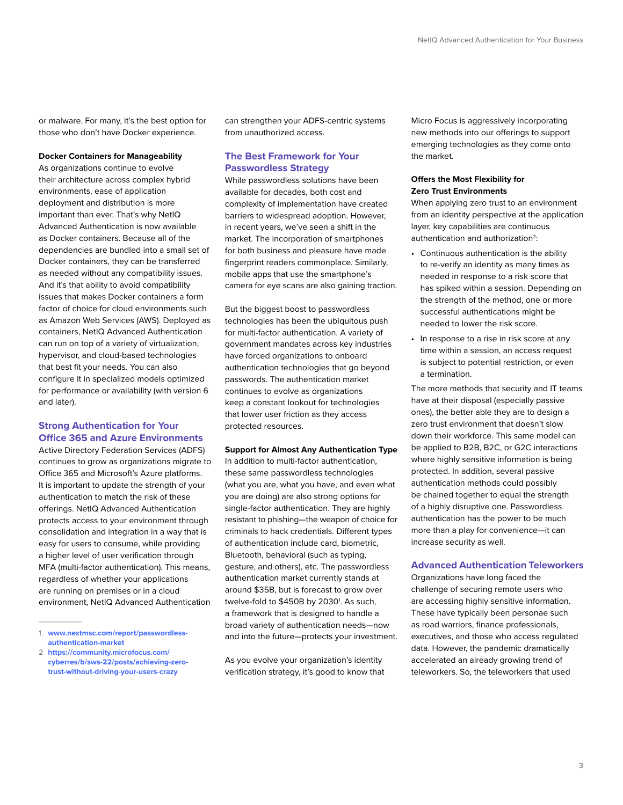or malware. For many, it's the best option for those who don't have Docker experience.

#### **Docker Containers for Manageability**

As organizations continue to evolve their architecture across complex hybrid environments, ease of application deployment and distribution is more important than ever. That's why NetIQ Advanced Authentication is now available as Docker containers. Because all of the dependencies are bundled into a small set of Docker containers, they can be transferred as needed without any compatibility issues. And it's that ability to avoid compatibility issues that makes Docker containers a form factor of choice for cloud environments such as Amazon Web Services (AWS). Deployed as containers, NetIQ Advanced Authentication can run on top of a variety of virtualization, hypervisor, and cloud-based technologies that best fit your needs. You can also configure it in specialized models optimized for performance or availability (with version 6 and later).

## **Strong Authentication for Your Office 365 and Azure Environments**

Active Directory Federation Services (ADFS) continues to grow as organizations migrate to Office 365 and Microsoft's Azure platforms. It is important to update the strength of your authentication to match the risk of these offerings. NetIQ Advanced Authentication protects access to your environment through consolidation and integration in a way that is easy for users to consume, while providing a higher level of user verification through MFA (multi-factor authentication). This means, regardless of whether your applications are running on premises or in a cloud environment, NetIQ Advanced Authentication

 $\overline{\phantom{a}}$ 

can strengthen your ADFS-centric systems from unauthorized access.

## **The Best Framework for Your Passwordless Strategy**

While passwordless solutions have been available for decades, both cost and complexity of implementation have created barriers to widespread adoption. However, in recent years, we've seen a shift in the market. The incorporation of smartphones for both business and pleasure have made fingerprint readers commonplace. Similarly, mobile apps that use the smartphone's camera for eye scans are also gaining traction.

But the biggest boost to passwordless technologies has been the ubiquitous push for multi-factor authentication. A variety of government mandates across key industries have forced organizations to onboard authentication technologies that go beyond passwords. The authentication market continues to evolve as organizations keep a constant lookout for technologies that lower user friction as they access protected resources.

#### **Support for Almost Any Authentication Type**

In addition to multi-factor authentication, these same passwordless technologies (what you are, what you have, and even what you are doing) are also strong options for single-factor authentication. They are highly resistant to phishing—the weapon of choice for criminals to hack credentials. Different types of authentication include card, biometric, Bluetooth, behavioral (such as typing, gesture, and others), etc. The passwordless authentication market currently stands at around \$35B, but is forecast to grow over twelve-fold to \$450B by 2030<sup>1</sup>. As such, a framework that is designed to handle a broad variety of authentication needs—now and into the future—protects your investment.

As you evolve your organization's identity verification strategy, it's good to know that Micro Focus is aggressively incorporating new methods into our offerings to support emerging technologies as they come onto the market.

#### **Offers the Most Flexibility for Zero Trust Environments**

When applying zero trust to an environment from an identity perspective at the application layer, key capabilities are continuous authentication and authorization<sup>2</sup>:

- Continuous authentication is the ability to re-verify an identity as many times as needed in response to a risk score that has spiked within a session. Depending on the strength of the method, one or more successful authentications might be needed to lower the risk score.
- In response to a rise in risk score at any time within a session, an access request is subject to potential restriction, or even a termination.

The more methods that security and IT teams have at their disposal (especially passive ones), the better able they are to design a zero trust environment that doesn't slow down their workforce. This same model can be applied to B2B, B2C, or G2C interactions where highly sensitive information is being protected. In addition, several passive authentication methods could possibly be chained together to equal the strength of a highly disruptive one. Passwordless authentication has the power to be much more than a play for convenience—it can increase security as well.

#### **Advanced Authentication Teleworkers**

Organizations have long faced the challenge of securing remote users who are accessing highly sensitive information. These have typically been personae such as road warriors, finance professionals, executives, and those who access regulated data. However, the pandemic dramatically accelerated an already growing trend of teleworkers. So, the teleworkers that used

<sup>1.</sup> **[www.nextmsc.com/report/passwordless](https://www.nextmsc.com/report/passwordless-authentication-market)[authentication-market](https://www.nextmsc.com/report/passwordless-authentication-market)**

<sup>2</sup> **[https://community.microfocus.com/](https://community.microfocus.com/cyberres/b/sws-22/posts/achieving-zero-trust-without-driving-your-users-crazy) [cyberres/b/sws-22/posts/achieving-zero](https://community.microfocus.com/cyberres/b/sws-22/posts/achieving-zero-trust-without-driving-your-users-crazy)[trust-without-driving-your-users-crazy](https://community.microfocus.com/cyberres/b/sws-22/posts/achieving-zero-trust-without-driving-your-users-crazy)**